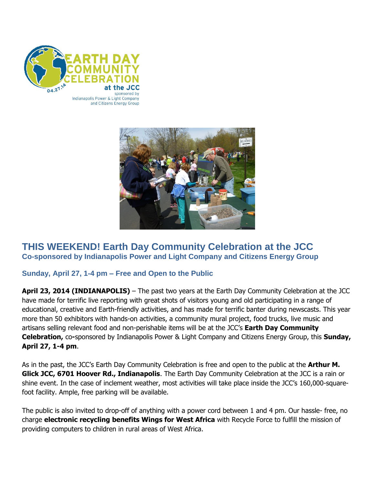

Indianapolis Power & Light Company and Citizens Energy Group



# **THIS WEEKEND! Earth Day Community Celebration at the JCC Co-sponsored by Indianapolis Power and Light Company and Citizens Energy Group**

## **Sunday, April 27, 1-4 pm – Free and Open to the Public**

**April 23, 2014 (INDIANAPOLIS)** – The past two years at the Earth Day Community Celebration at the JCC have made for terrific live reporting with great shots of visitors young and old participating in a range of educational, creative and Earth-friendly activities, and has made for terrific banter during newscasts. This year more than 50 exhibitors with hands-on activities, a community mural project, food trucks, live music and artisans selling relevant food and non-perishable items will be at the JCC's **Earth Day Community Celebration,** co**-**sponsored by Indianapolis Power & Light Company and Citizens Energy Group, this **Sunday, April 27, 1-4 pm**.

As in the past, the JCC's Earth Day Community Celebration is free and open to the public at the **Arthur M. Glick JCC, 6701 Hoover Rd., Indianapolis**. The Earth Day Community Celebration at the JCC is a rain or shine event. In the case of inclement weather, most activities will take place inside the JCC's 160,000-squarefoot facility. Ample, free parking will be available.

The public is also invited to drop-off of anything with a power cord between 1 and 4 pm. Our hassle- free, no charge **electronic recycling benefits Wings for West Africa** with Recycle Force to fulfill the mission of providing computers to children in rural areas of West Africa.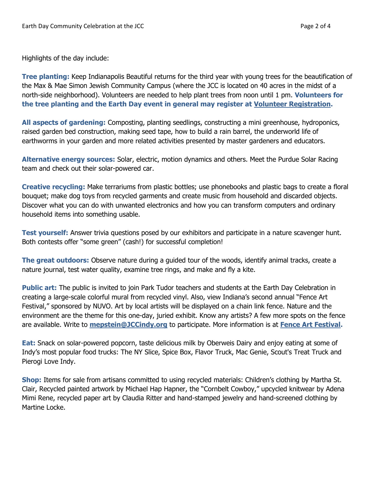Highlights of the day include:

**Tree planting:** Keep Indianapolis Beautiful returns for the third year with young trees for the beautification of the Max & Mae Simon Jewish Community Campus (where the JCC is located on 40 acres in the midst of a north-side neighborhood). Volunteers are needed to help plant trees from noon until 1 pm. **Volunteers for the tree planting and the Earth Day event in general may register at [Volunteer Registration.](https://secure.ujcfederations.org/ft2/form.html?__id=26878)**

**All aspects of gardening:** Composting, planting seedlings, constructing a mini greenhouse, hydroponics, raised garden bed construction, making seed tape, how to build a rain barrel, the underworld life of earthworms in your garden and more related activities presented by master gardeners and educators.

**Alternative energy sources:** Solar, electric, motion dynamics and others. Meet the Purdue Solar Racing team and check out their solar-powered car.

**Creative recycling:** Make terrariums from plastic bottles; use phonebooks and plastic bags to create a floral bouquet; make dog toys from recycled garments and create music from household and discarded objects. Discover what you can do with unwanted electronics and how you can transform computers and ordinary household items into something usable.

**Test yourself:** Answer trivia questions posed by our exhibitors and participate in a nature scavenger hunt. Both contests offer "some green" (cash!) for successful completion!

**The great outdoors:** Observe nature during a guided tour of the woods, identify animal tracks, create a nature journal, test water quality, examine tree rings, and make and fly a kite.

**Public art:** The public is invited to join Park Tudor teachers and students at the Earth Day Celebration in creating a large-scale colorful mural from recycled vinyl. Also, view Indiana's second annual "Fence Art Festival," sponsored by NUVO. Art by local artists will be displayed on a chain link fence. Nature and the environment are the theme for this one-day, juried exhibit. Know any artists? A few more spots on the fence are available. Write to **[mepstein@JCCindy.org](mailto:mepstein@JCCindy.org)** to participate. More information is at **[Fence Art Festival.](http://www.jccindy.org/page.aspx?id=251633)**

**Eat:** Snack on solar-powered popcorn, taste delicious milk by Oberweis Dairy and enjoy eating at some of Indy's most popular food trucks: The NY Slice, Spice Box, Flavor Truck, Mac Genie, Scout's Treat Truck and Pierogi Love Indy.

**Shop:** Items for sale from artisans committed to using recycled materials: Children's clothing by Martha St. Clair, Recycled painted artwork by Michael Hap Hapner, the "Cornbelt Cowboy," upcycled knitwear by Adena Mimi Rene, recycled paper art by Claudia Ritter and hand-stamped jewelry and hand-screened clothing by Martine Locke.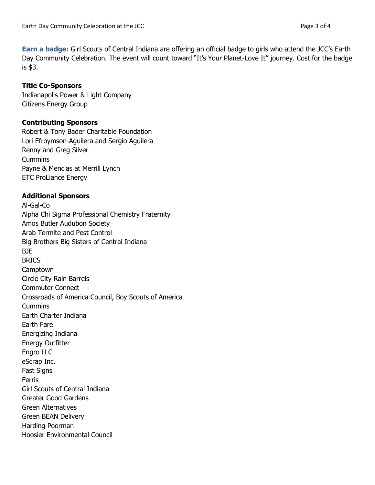**Earn a badge:** Girl Scouts of Central Indiana are offering an official badge to girls who attend the JCC's Earth Day Community Celebration. The event will count toward "It's Your Planet-Love It" journey. Cost for the badge is \$3.

#### **Title Co-Sponsors**

[Indianapolis Power & Light Company](http://www.iplpower.com/) Citizens Energy Group

#### **Contributing Sponsors**

Robert & Tony Bader Charitable Foundation Lori Efroymson-Aguilera and Sergio Aguilera Renny and Greg Silver **Cummins** Payne & Mencias at Merrill Lynch ETC ProLiance Energy

### **Additional Sponsors**

Al-Gal-Co Alpha Chi Sigma Professional Chemistry Fraternity Amos Butler Audubon Society Arab Termite and Pest Control Big Brothers Big Sisters of Central Indiana BJE **BRICS** Camptown Circle City Rain Barrels Commuter Connect Crossroads of America Council, Boy Scouts of America **Cummins** Earth Charter Indiana Earth Fare Energizing Indiana Energy Outfitter Engro LLC eScrap Inc. Fast Signs Ferris Girl Scouts of Central Indiana Greater Good Gardens Green Alternatives Green BEAN Delivery Harding Poorman Hoosier Environmental Council